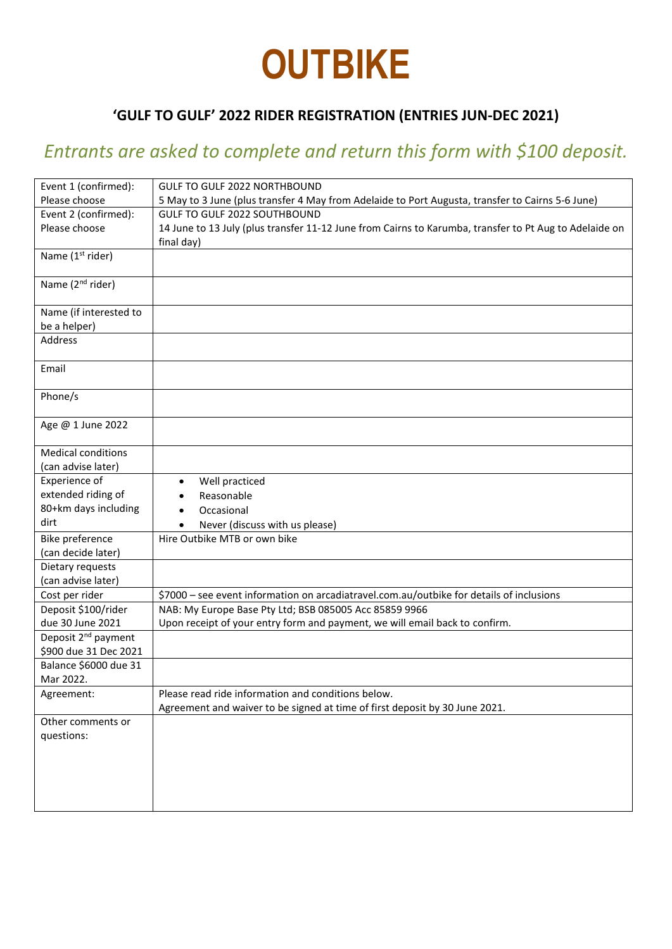# **OUTBIKE**

### **'GULF TO GULF' 2022 RIDER REGISTRATION (ENTRIES JUN-DEC 2021)**

## *Entrants are asked to complete and return this form with \$100 deposit.*

| Event 1 (confirmed):            | GULF TO GULF 2022 NORTHBOUND                                                                           |
|---------------------------------|--------------------------------------------------------------------------------------------------------|
| Please choose                   | 5 May to 3 June (plus transfer 4 May from Adelaide to Port Augusta, transfer to Cairns 5-6 June)       |
| Event 2 (confirmed):            | <b>GULF TO GULF 2022 SOUTHBOUND</b>                                                                    |
| Please choose                   | 14 June to 13 July (plus transfer 11-12 June from Cairns to Karumba, transfer to Pt Aug to Adelaide on |
|                                 | final day)                                                                                             |
| Name (1 <sup>st</sup> rider)    |                                                                                                        |
|                                 |                                                                                                        |
| Name (2 <sup>nd</sup> rider)    |                                                                                                        |
|                                 |                                                                                                        |
| Name (if interested to          |                                                                                                        |
| be a helper)                    |                                                                                                        |
| <b>Address</b>                  |                                                                                                        |
|                                 |                                                                                                        |
| Email                           |                                                                                                        |
|                                 |                                                                                                        |
| Phone/s                         |                                                                                                        |
| Age @ 1 June 2022               |                                                                                                        |
|                                 |                                                                                                        |
| <b>Medical conditions</b>       |                                                                                                        |
| (can advise later)              |                                                                                                        |
| Experience of                   | Well practiced                                                                                         |
| extended riding of              | Reasonable                                                                                             |
| 80+km days including            | Occasional                                                                                             |
| dirt                            | Never (discuss with us please)<br>$\bullet$                                                            |
| Bike preference                 | Hire Outbike MTB or own bike                                                                           |
| (can decide later)              |                                                                                                        |
| Dietary requests                |                                                                                                        |
| (can advise later)              |                                                                                                        |
| Cost per rider                  | \$7000 - see event information on arcadiatravel.com.au/outbike for details of inclusions               |
| Deposit \$100/rider             | NAB: My Europe Base Pty Ltd; BSB 085005 Acc 85859 9966                                                 |
| due 30 June 2021                | Upon receipt of your entry form and payment, we will email back to confirm.                            |
| Deposit 2 <sup>nd</sup> payment |                                                                                                        |
| \$900 due 31 Dec 2021           |                                                                                                        |
| Balance \$6000 due 31           |                                                                                                        |
| Mar 2022.                       |                                                                                                        |
| Agreement:                      | Please read ride information and conditions below.                                                     |
|                                 | Agreement and waiver to be signed at time of first deposit by 30 June 2021.                            |
| Other comments or               |                                                                                                        |
| questions:                      |                                                                                                        |
|                                 |                                                                                                        |
|                                 |                                                                                                        |
|                                 |                                                                                                        |
|                                 |                                                                                                        |